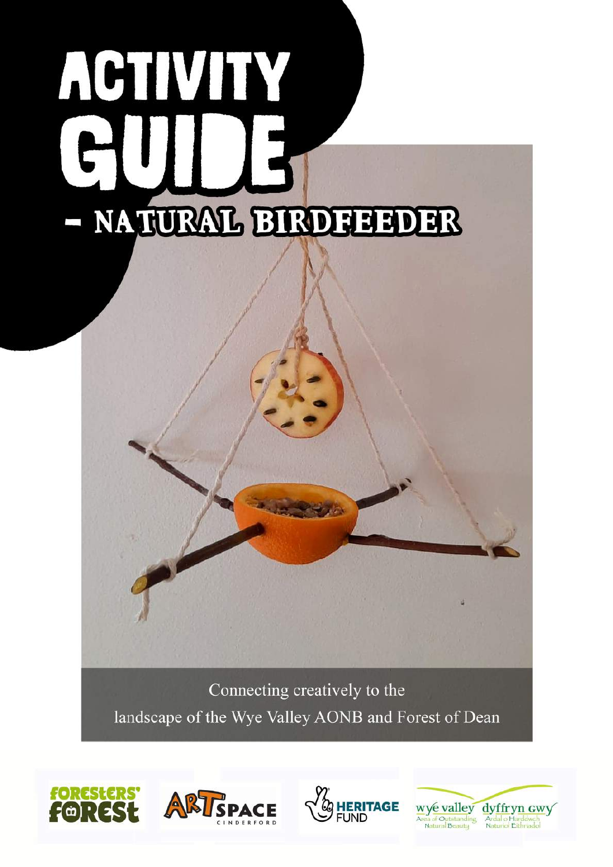# ACTIVITY NATURAL BIRDHEHDER

Connecting creatively to the landscape of the Wye Valley AONB and Forest of Dean







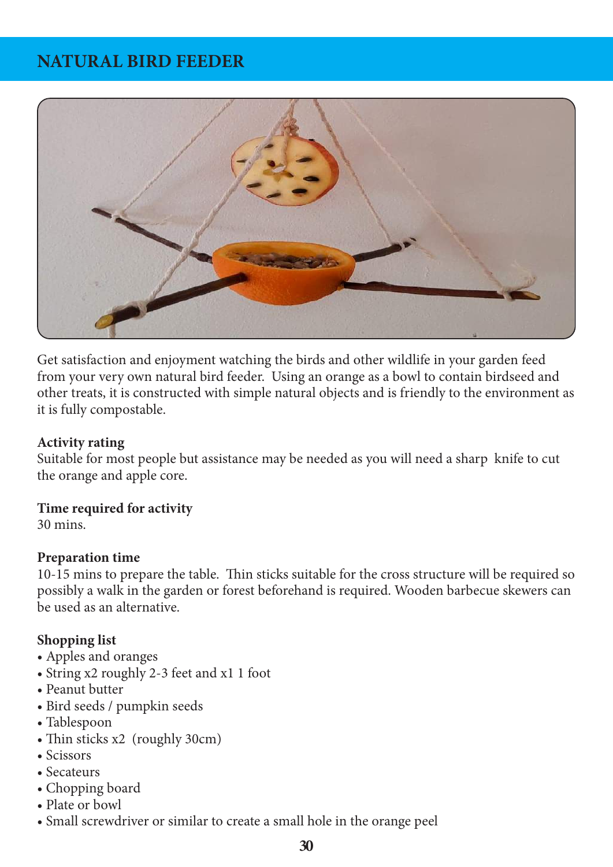# **NATURAL BIRD FEEDER**



Get satisfaction and enjoyment watching the birds and other wildlife in your garden feed from your very own natural bird feeder. Using an orange as a bowl to contain birdseed and other treats, it is constructed with simple natural objects and is friendly to the environment as it is fully compostable.

### **Activity rating**

Suitable for most people but assistance may be needed as you will need a sharp knife to cut the orange and apple core.

### **Time required for activity**

30 mins.

### **Preparation time**

10-15 mins to prepare the table. Thin sticks suitable for the cross structure will be required so possibly a walk in the garden or forest beforehand is required. Wooden barbecue skewers can be used as an alternative.

### **Shopping list**

- Apples and oranges
- String x2 roughly 2-3 feet and x1 1 foot
- Peanut butter
- Bird seeds / pumpkin seeds
- Tablespoon
- Thin sticks x2 (roughly 30cm)
- Scissors
- Secateurs
- Chopping board
- Plate or bowl
- Small screwdriver or similar to create a small hole in the orange peel